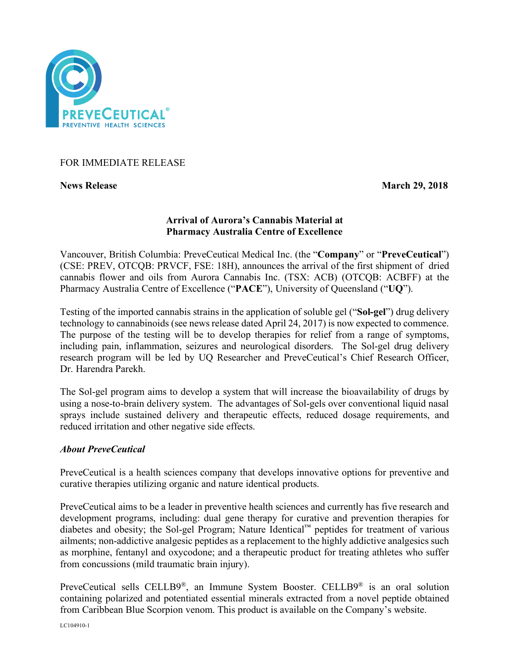

## FOR IMMEDIATE RELEASE

**News Release March 29, 2018** 

# **Arrival of Aurora's Cannabis Material at Pharmacy Australia Centre of Excellence**

Vancouver, British Columbia: PreveCeutical Medical Inc. (the "**Company**" or "**PreveCeutical**") (CSE: PREV, OTCQB: PRVCF, FSE: 18H), announces the arrival of the first shipment of dried cannabis flower and oils from Aurora Cannabis Inc. (TSX: ACB) (OTCQB: ACBFF) at the Pharmacy Australia Centre of Excellence ("**PACE**"), University of Queensland ("**UQ**").

Testing of the imported cannabis strains in the application of soluble gel ("**Sol-gel**") drug delivery technology to cannabinoids (see news release dated April 24, 2017) is now expected to commence. The purpose of the testing will be to develop therapies for relief from a range of symptoms, including pain, inflammation, seizures and neurological disorders. The Sol-gel drug delivery research program will be led by UQ Researcher and PreveCeutical's Chief Research Officer, Dr. Harendra Parekh.

The Sol-gel program aims to develop a system that will increase the bioavailability of drugs by using a nose-to-brain delivery system. The advantages of Sol-gels over conventional liquid nasal sprays include sustained delivery and therapeutic effects, reduced dosage requirements, and reduced irritation and other negative side effects.

### *About PreveCeutical*

PreveCeutical is a health sciences company that develops innovative options for preventive and curative therapies utilizing organic and nature identical products.

PreveCeutical aims to be a leader in preventive health sciences and currently has five research and development programs, including: dual gene therapy for curative and prevention therapies for diabetes and obesity; the Sol-gel Program; Nature Identical™ peptides for treatment of various ailments; non-addictive analgesic peptides as a replacement to the highly addictive analgesics such as morphine, fentanyl and oxycodone; and a therapeutic product for treating athletes who suffer from concussions (mild traumatic brain injury).

PreveCeutical sells CELLB9®, an Immune System Booster. CELLB9® is an oral solution containing polarized and potentiated essential minerals extracted from a novel peptide obtained from Caribbean Blue Scorpion venom. This product is available on the Company's website.